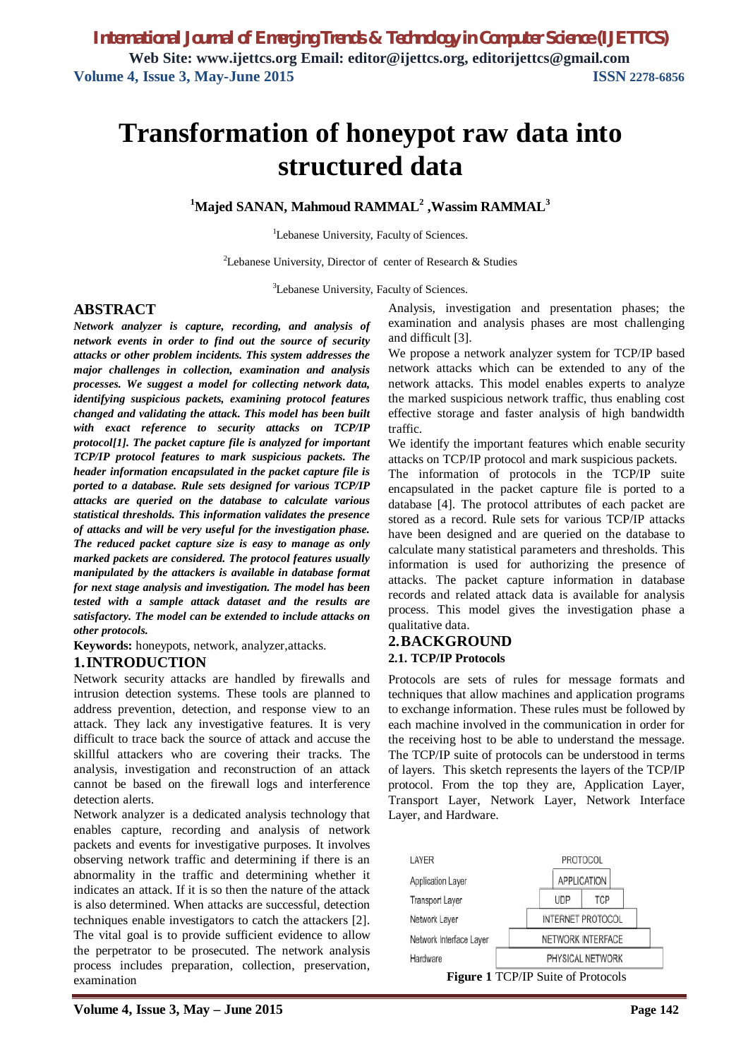# **Transformation of honeypot raw data into structured data**

**<sup>1</sup>Majed SANAN, Mahmoud RAMMAL<sup>2</sup> ,Wassim RAMMAL<sup>3</sup>**

<sup>1</sup>Lebanese University, Faculty of Sciences.

<sup>2</sup>Lebanese University, Director of center of Research  $\&$  Studies

<sup>3</sup>Lebanese University, Faculty of Sciences.

# **ABSTRACT**

*Network analyzer is capture, recording, and analysis of network events in order to find out the source of security attacks or other problem incidents. This system addresses the major challenges in collection, examination and analysis processes. We suggest a model for collecting network data, identifying suspicious packets, examining protocol features changed and validating the attack. This model has been built with exact reference to security attacks on TCP/IP protocol[1]. The packet capture file is analyzed for important TCP/IP protocol features to mark suspicious packets. The header information encapsulated in the packet capture file is ported to a database. Rule sets designed for various TCP/IP attacks are queried on the database to calculate various statistical thresholds. This information validates the presence of attacks and will be very useful for the investigation phase. The reduced packet capture size is easy to manage as only marked packets are considered. The protocol features usually manipulated by the attackers is available in database format for next stage analysis and investigation. The model has been tested with a sample attack dataset and the results are satisfactory. The model can be extended to include attacks on other protocols.*

**Keywords:** honeypots, network, analyzer,attacks.

# **1.INTRODUCTION**

Network security attacks are handled by firewalls and intrusion detection systems. These tools are planned to address prevention, detection, and response view to an attack. They lack any investigative features. It is very difficult to trace back the source of attack and accuse the skillful attackers who are covering their tracks. The analysis, investigation and reconstruction of an attack cannot be based on the firewall logs and interference detection alerts.

Network analyzer is a dedicated analysis technology that enables capture, recording and analysis of network packets and events for investigative purposes. It involves observing network traffic and determining if there is an abnormality in the traffic and determining whether it indicates an attack. If it is so then the nature of the attack is also determined. When attacks are successful, detection techniques enable investigators to catch the attackers [2]. The vital goal is to provide sufficient evidence to allow the perpetrator to be prosecuted. The network analysis process includes preparation, collection, preservation, examination

examination and analysis phases are most challenging and difficult [3]. We propose a network analyzer system for TCP/IP based

network attacks which can be extended to any of the network attacks. This model enables experts to analyze the marked suspicious network traffic, thus enabling cost effective storage and faster analysis of high bandwidth traffic.

Analysis, investigation and presentation phases; the

We identify the important features which enable security attacks on TCP/IP protocol and mark suspicious packets.

The information of protocols in the TCP/IP suite encapsulated in the packet capture file is ported to a database [4]. The protocol attributes of each packet are stored as a record. Rule sets for various TCP/IP attacks have been designed and are queried on the database to calculate many statistical parameters and thresholds. This information is used for authorizing the presence of attacks. The packet capture information in database records and related attack data is available for analysis process. This model gives the investigation phase a qualitative data.

### **2.BACKGROUND 2.1. TCP/IP Protocols**

Protocols are sets of rules for message formats and techniques that allow machines and application programs to exchange information. These rules must be followed by each machine involved in the communication in order for the receiving host to be able to understand the message. The TCP/IP suite of protocols can be understood in terms of layers. This sketch represents the layers of the TCP/IP protocol. From the top they are, Application Layer, Transport Layer, Network Layer, Network Interface Layer, and Hardware.



**Figure 1** TCP/IP Suite of Protocols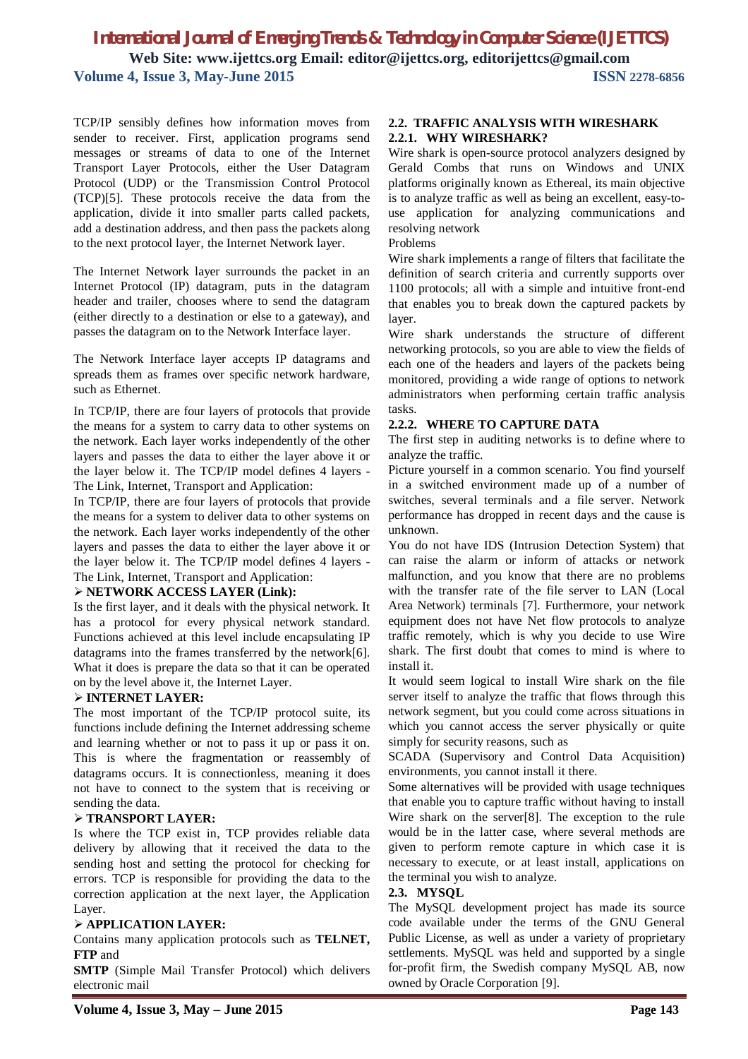TCP/IP sensibly defines how information moves from sender to receiver. First, application programs send messages or streams of data to one of the Internet Transport Layer Protocols, either the User Datagram Protocol (UDP) or the Transmission Control Protocol (TCP)[5]. These protocols receive the data from the application, divide it into smaller parts called packets, add a destination address, and then pass the packets along to the next protocol layer, the Internet Network layer.

The Internet Network layer surrounds the packet in an Internet Protocol (IP) datagram, puts in the datagram header and trailer, chooses where to send the datagram (either directly to a destination or else to a gateway), and passes the datagram on to the Network Interface layer.

The Network Interface layer accepts IP datagrams and spreads them as frames over specific network hardware, such as Ethernet.

In TCP/IP, there are four layers of protocols that provide the means for a system to carry data to other systems on the network. Each layer works independently of the other layers and passes the data to either the layer above it or the layer below it. The TCP/IP model defines 4 layers - The Link, Internet, Transport and Application:

In TCP/IP, there are four layers of protocols that provide the means for a system to deliver data to other systems on the network. Each layer works independently of the other layers and passes the data to either the layer above it or the layer below it. The TCP/IP model defines 4 layers - The Link, Internet, Transport and Application:

### **NETWORK ACCESS LAYER (Link):**

Is the first layer, and it deals with the physical network. It has a protocol for every physical network standard. Functions achieved at this level include encapsulating IP datagrams into the frames transferred by the network[6]. What it does is prepare the data so that it can be operated on by the level above it, the Internet Layer.

### **INTERNET LAYER:**

The most important of the TCP/IP protocol suite, its functions include defining the Internet addressing scheme and learning whether or not to pass it up or pass it on. This is where the fragmentation or reassembly of datagrams occurs. It is connectionless, meaning it does not have to connect to the system that is receiving or sending the data.

### **TRANSPORT LAYER:**

Is where the TCP exist in, TCP provides reliable data delivery by allowing that it received the data to the sending host and setting the protocol for checking for errors. TCP is responsible for providing the data to the correction application at the next layer, the Application Layer.

### **APPLICATION LAYER:**

Contains many application protocols such as **TELNET, FTP** and

**SMTP** (Simple Mail Transfer Protocol) which delivers electronic mail

#### **2.2. TRAFFIC ANALYSIS WITH WIRESHARK 2.2.1. WHY WIRESHARK?**

Wire shark is open-source protocol analyzers designed by Gerald Combs that runs on Windows and UNIX platforms originally known as Ethereal, its main objective is to analyze traffic as well as being an excellent, easy-touse application for analyzing communications and resolving network

Problems

Wire shark implements a range of filters that facilitate the definition of search criteria and currently supports over 1100 protocols; all with a simple and intuitive front-end that enables you to break down the captured packets by layer.

Wire shark understands the structure of different networking protocols, so you are able to view the fields of each one of the headers and layers of the packets being monitored, providing a wide range of options to network administrators when performing certain traffic analysis tasks.

### **2.2.2. WHERE TO CAPTURE DATA**

The first step in auditing networks is to define where to analyze the traffic.

Picture yourself in a common scenario. You find yourself in a switched environment made up of a number of switches, several terminals and a file server. Network performance has dropped in recent days and the cause is unknown.

You do not have IDS (Intrusion Detection System) that can raise the alarm or inform of attacks or network malfunction, and you know that there are no problems with the transfer rate of the file server to LAN (Local Area Network) terminals [7]. Furthermore, your network equipment does not have Net flow protocols to analyze traffic remotely, which is why you decide to use Wire shark. The first doubt that comes to mind is where to install it.

It would seem logical to install Wire shark on the file server itself to analyze the traffic that flows through this network segment, but you could come across situations in which you cannot access the server physically or quite simply for security reasons, such as

SCADA (Supervisory and Control Data Acquisition) environments, you cannot install it there.

Some alternatives will be provided with usage techniques that enable you to capture traffic without having to install Wire shark on the server[8]. The exception to the rule would be in the latter case, where several methods are given to perform remote capture in which case it is necessary to execute, or at least install, applications on the terminal you wish to analyze.

### **2.3. MYSQL**

The MySQL development project has made its source code available under the terms of the GNU General Public License, as well as under a variety of proprietary settlements. MySQL was held and supported by a single for-profit firm, the Swedish company MySQL AB, now owned by Oracle Corporation [9].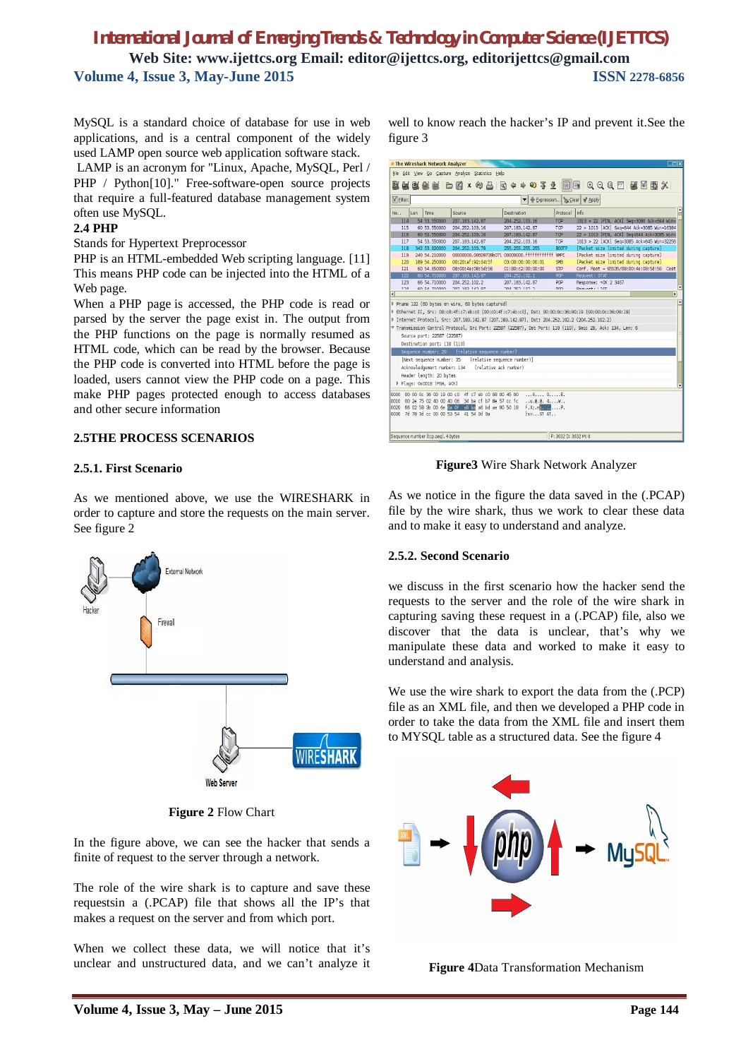MySQL is a standard choice of database for use in web applications, and is a central component of the widely used LAMP open source web application software stack.

LAMP is an acronym for "Linux, Apache, MySQL, Perl / PHP / Python[10]." Free-software-open source projects that require a full-featured database management system often use MySQL.

### **2.4 PHP**

Stands for Hypertext Preprocessor

PHP is an HTML-embedded Web scripting language. [11] This means PHP code can be injected into the HTML of a Web page.

When a PHP page is accessed, the PHP code is read or parsed by the server the page exist in. The output from the PHP functions on the page is normally resumed as HTML code, which can be read by the browser. Because the PHP code is converted into HTML before the page is loaded, users cannot view the PHP code on a page. This make PHP pages protected enough to access databases and other secure information

### **2.5THE PROCESS SCENARIOS**

### **2.5.1. First Scenario**

As we mentioned above, we use the WIRESHARK in order to capture and store the requests on the main server. See figure 2



**Figure 2** Flow Chart

In the figure above, we can see the hacker that sends a finite of request to the server through a network.

The role of the wire shark is to capture and save these requestsin a (.PCAP) file that shows all the IP's that makes a request on the server and from which port.

When we collect these data, we will notice that it's unclear and unstructured data, and we can't analyze it well to know reach the hacker's IP and prevent it.See the figure 3

|                |     | <b>* The Wireshark Network Analyzer</b>                                                                  |                                 |                             |                       |                                              |                              |                                       |                                                                             | $\Box$ ex                |
|----------------|-----|----------------------------------------------------------------------------------------------------------|---------------------------------|-----------------------------|-----------------------|----------------------------------------------|------------------------------|---------------------------------------|-----------------------------------------------------------------------------|--------------------------|
|                |     | File Edit View Go Capture Analyze Statistics Help                                                        |                                 |                             |                       |                                              |                              |                                       |                                                                             |                          |
|                |     |                                                                                                          |                                 |                             |                       |                                              |                              |                                       | <b>無数条約 P E × 4 &amp; B   Q + + + + 3 + +   B   B   Q Q Q M   M B   B X</b> |                          |
| Y Filter:      |     |                                                                                                          |                                 |                             |                       |                                              | P Expression > Clear V Apply |                                       |                                                                             |                          |
| No             | Len | Time                                                                                                     | Source                          |                             | Destination           |                                              | Protocol                     | Info                                  |                                                                             |                          |
| 114            |     | 54 53, 550000                                                                                            | 207.183.142.87                  |                             |                       | 204.252.103.16                               | TCP                          |                                       | 1013 > 22 [FIN, ACK] Seg=3084 Ack=644 Win=                                  |                          |
| 115            |     | 60 53, 550000                                                                                            | 204.252.103.16                  |                             |                       | 207, 183, 142, 87                            | TCP                          |                                       | 22 > 1013 [ACK] Seq=644 Ack=3085 Win=16384                                  |                          |
| 116            |     | 60 53,550000                                                                                             | 204.252.103.16                  |                             |                       | 207, 183, 142, 87                            | TCP                          |                                       | 22 > 1013 [FIN, ACK] Seq=644 Ack=3085 Win=                                  |                          |
| 117            |     | 54 53, 550000                                                                                            | 207.183.142.87                  |                             |                       | 204.252.103.16                               | TCP                          |                                       | 1013 > 22 [ACK] Seq=3085 Ack=645 Win=32256                                  |                          |
| 118            |     | 342 53,920000                                                                                            | 204.252.103.79                  |                             |                       | 255, 255, 255, 255                           | <b>BOOTP</b>                 |                                       | [Packet size limited during capture]                                        |                          |
| 119            |     | 240 54, 210000                                                                                           |                                 |                             |                       | 00000000.00609739b071 00000000.fffffffffffff | <b>NMPI</b>                  |                                       | [Packet size limited during capture]                                        |                          |
| 120            |     | 189 54, 250000                                                                                           |                                 | 00:20:af:92:d4:5f           |                       | 03:00:00:00:00:01                            | SMB                          |                                       | [Packet size limited during capture]                                        |                          |
| 121            |     | 60 54, 650000                                                                                            |                                 | 08:00:4e:08:5d:56           |                       | 01:80:c2:00:00:00                            | <b>STP</b>                   |                                       | Conf. Root = 65535/08:00:4e:08:5d:56 Cost                                   |                          |
| 122            |     | 60 54, 710000                                                                                            | 207.183.142.87                  |                             |                       | 204.252.102.2                                | <b>POP</b>                   | Request: STAT                         |                                                                             |                          |
| 123<br>3.34    |     | 66 54, 710000<br>60.54.710000                                                                            | 204.252.102.2<br>207 102 142 07 |                             |                       | 207.183.142.87<br>304 353 103.3              | <b>POP</b><br>DOD.           | Response: +0K 2 3467<br>Dominate ITCT |                                                                             | ٠                        |
| $\overline{1}$ |     |                                                                                                          |                                 |                             |                       |                                              |                              |                                       |                                                                             | $\overline{\phantom{0}}$ |
|                |     |                                                                                                          |                                 |                             |                       |                                              |                              |                                       |                                                                             |                          |
|                |     | P Frame 122 (60 bytes on wire, 60 bytes captured)                                                        |                                 |                             |                       |                                              |                              |                                       |                                                                             |                          |
|                |     | P Ethernet II. Src: 00:c0:4f:c7:eb:c0 (00:c0:4f:c7:eb:c0). Dst: 00:00:0c:36:00:19 (00:00:0c:36:00:19)    |                                 |                             |                       |                                              |                              |                                       |                                                                             |                          |
|                |     | ♪ Internet Protocol, Src: 207.183.142.87 (207.183.142.87), Dst: 204.252.102.2 (204.252.102.2)            |                                 |                             |                       |                                              |                              |                                       |                                                                             |                          |
|                |     | v Transmission Control Protocol, Src Port: 22587 (22587), Dst Port: 110 (110), Seq: 29, Ack: 134, Len: 6 |                                 |                             |                       |                                              |                              |                                       |                                                                             |                          |
|                |     | Source port: 22587 (22587)                                                                               |                                 |                             |                       |                                              |                              |                                       |                                                                             |                          |
|                |     | Destination port: 110 (110)                                                                              |                                 |                             |                       |                                              |                              |                                       |                                                                             |                          |
|                |     | Sequence number: 29                                                                                      |                                 | (relative sequence number)  |                       |                                              |                              |                                       |                                                                             |                          |
|                |     | [Next sequence number: 35                                                                                |                                 | (relative sequence number)] |                       |                                              |                              |                                       |                                                                             |                          |
|                |     | Acknowledgement number: 134                                                                              |                                 |                             | (relative ack number) |                                              |                              |                                       |                                                                             |                          |
|                |     | Header length: 20 bytes                                                                                  |                                 |                             |                       |                                              |                              |                                       |                                                                             |                          |
|                |     | P Flags: 0x0018 (PSH, ACK)                                                                               |                                 |                             |                       |                                              |                              |                                       |                                                                             |                          |
|                |     |                                                                                                          |                                 |                             |                       |                                              |                              |                                       |                                                                             |                          |
| 0000           |     | 00 00 0c 36 00 19 00 c0                                                                                  |                                 | 4f c7 eb c0 08 00 45 00     |                       | 60E.                                         |                              |                                       |                                                                             |                          |
| 0010           |     | 00 2e 75 02 40 00 40 06 34 ba cf b7 8e 57 cc fc                                                          |                                 |                             |                       | $u.\emptyset.\emptyset. 4W$                  |                              |                                       |                                                                             |                          |
| 0020           |     | 66 02 58 3b 00 6e 6a 0f a9 ba a6 bd ae 90 50 18                                                          |                                 |                             |                       | $f. X: n$ , , ,                              |                              |                                       |                                                                             |                          |
| 0030           |     | 7d 78 3d cc 00 00 53 54 41 54 0d 0a                                                                      |                                 |                             |                       | $\{x = \ldots ST \text{ AT} \ldots$          |                              |                                       |                                                                             |                          |
|                |     | Sequence number (tcp.seg), 4 bytes                                                                       |                                 |                             |                       |                                              | P: 3632 D: 3632 M: 0         |                                       |                                                                             |                          |
|                |     |                                                                                                          |                                 |                             |                       |                                              |                              |                                       |                                                                             |                          |

**Figure3** Wire Shark Network Analyzer

As we notice in the figure the data saved in the (.PCAP) file by the wire shark, thus we work to clear these data and to make it easy to understand and analyze.

# **2.5.2. Second Scenario**

we discuss in the first scenario how the hacker send the requests to the server and the role of the wire shark in capturing saving these request in a (.PCAP) file, also we discover that the data is unclear, that's why we manipulate these data and worked to make it easy to understand and analysis.

We use the wire shark to export the data from the (.PCP) file as an XML file, and then we developed a PHP code in order to take the data from the XML file and insert them to MYSQL table as a structured data. See the figure 4



**Figure 4**Data Transformation Mechanism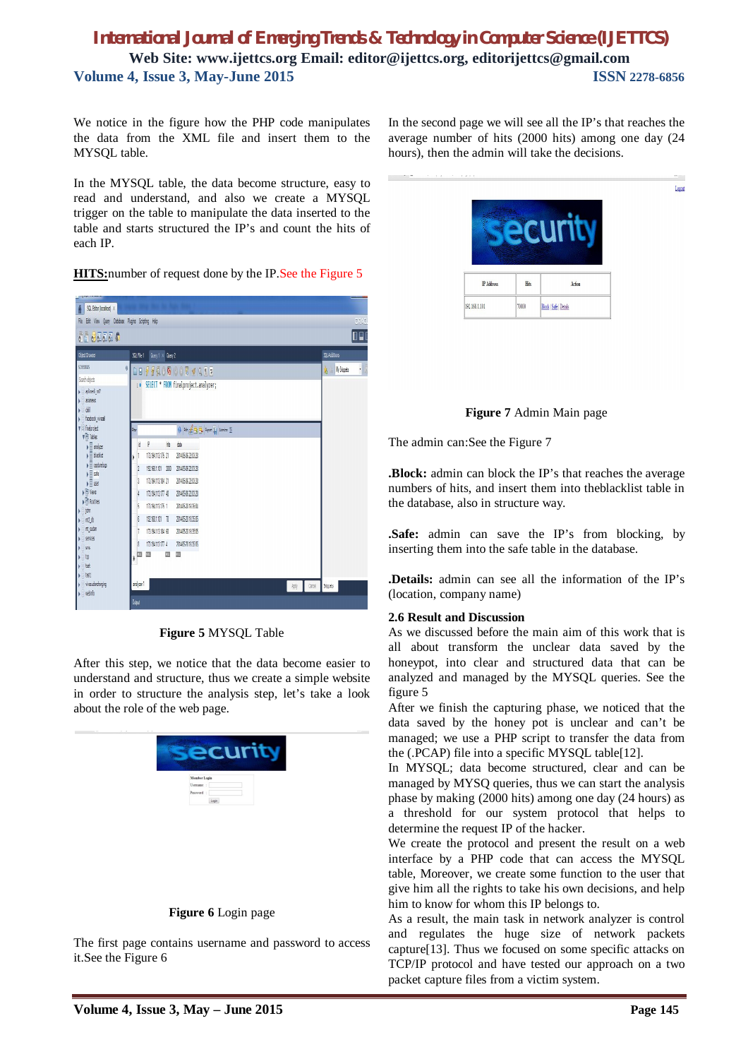We notice in the figure how the PHP code manipulates the data from the XML file and insert them to the MYSQL table.

In the MYSQL table, the data become structure, easy to read and understand, and also we create a MYSQL trigger on the table to manipulate the data inserted to the table and starts structured the IP's and count the hits of each IP.

**HITS:**number of request done by the IP.See the Figure 5



**Figure 5** MYSQL Table

After this step, we notice that the data become easier to understand and structure, thus we create a simple website in order to structure the analysis step, let's take a look about the role of the web page.



# **Figure 6** Login page

The first page contains username and password to access it.See the Figure 6

In the second page we will see all the IP's that reaches the average number of hits (2000 hits) among one day (24 hours), then the admin will take the decisions.

| <b>IP Address</b> | Hits | Action |  |
|-------------------|------|--------|--|

Locout



The admin can:See the Figure 7

**.Block:** admin can block the IP's that reaches the average numbers of hits, and insert them into theblacklist table in the database, also in structure way.

**.Safe:** admin can save the IP's from blocking, by inserting them into the safe table in the database.

**.Details:** admin can see all the information of the IP's (location, company name)

# **2.6 Result and Discussion**

As we discussed before the main aim of this work that is all about transform the unclear data saved by the honeypot, into clear and structured data that can be analyzed and managed by the MYSQL queries. See the figure 5

After we finish the capturing phase, we noticed that the data saved by the honey pot is unclear and can't be managed; we use a PHP script to transfer the data from the (.PCAP) file into a specific MYSQL table[12].

In MYSQL; data become structured, clear and can be managed by MYSQ queries, thus we can start the analysis phase by making (2000 hits) among one day (24 hours) as a threshold for our system protocol that helps to determine the request IP of the hacker.

We create the protocol and present the result on a web interface by a PHP code that can access the MYSQL table, Moreover, we create some function to the user that give him all the rights to take his own decisions, and help him to know for whom this IP belongs to.

As a result, the main task in network analyzer is control and regulates the huge size of network packets capture[13]. Thus we focused on some specific attacks on TCP/IP protocol and have tested our approach on a two packet capture files from a victim system.